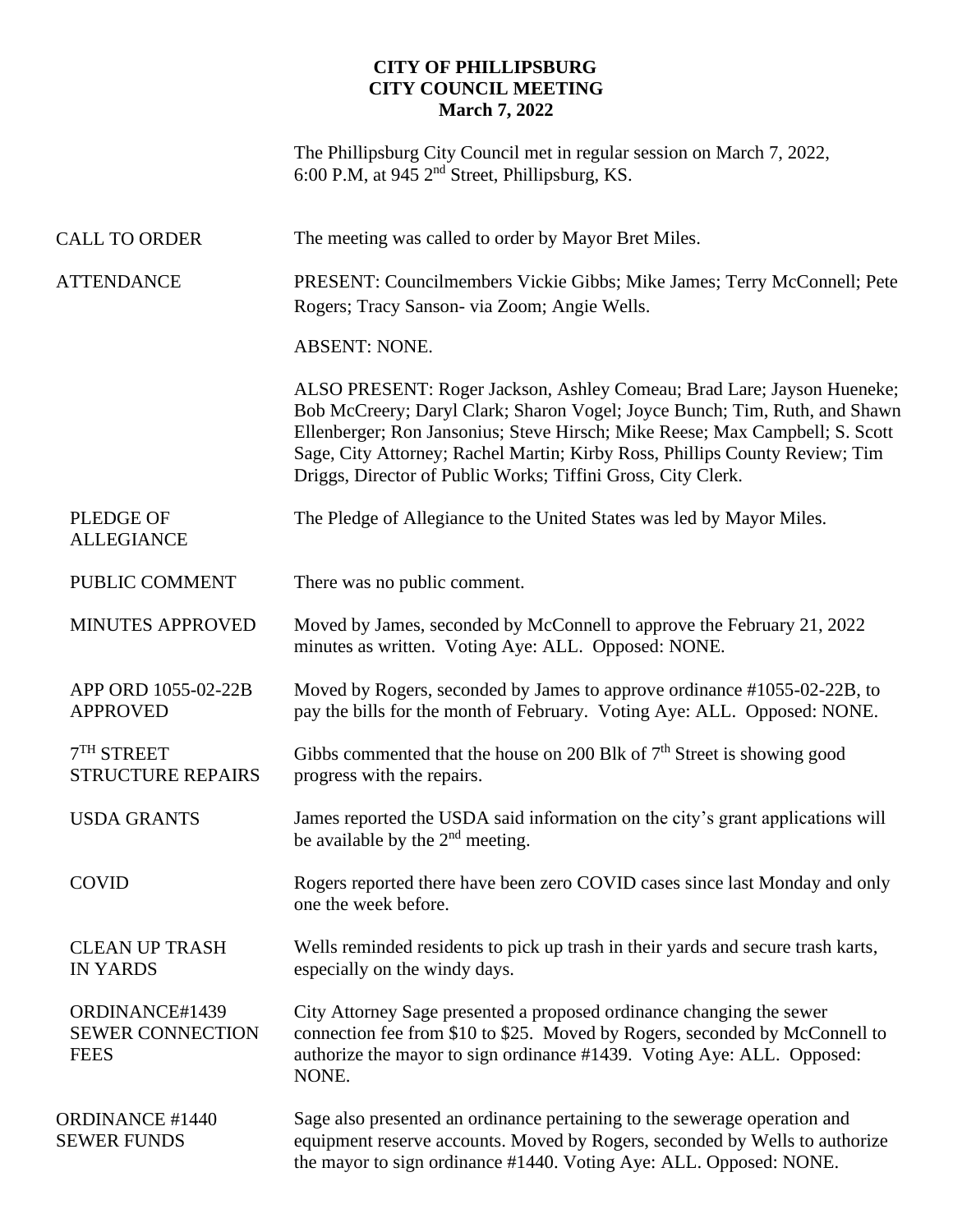## **CITY OF PHILLIPSBURG CITY COUNCIL MEETING March 7, 2022**

The Phillipsburg City Council met in regular session on March 7, 2022, 6:00 P.M, at 945  $2<sup>nd</sup>$  Street, Phillipsburg, KS.

| <b>CALL TO ORDER</b>                                     | The meeting was called to order by Mayor Bret Miles.                                                                                                                                                                                                                                                                                                                                |
|----------------------------------------------------------|-------------------------------------------------------------------------------------------------------------------------------------------------------------------------------------------------------------------------------------------------------------------------------------------------------------------------------------------------------------------------------------|
| <b>ATTENDANCE</b>                                        | PRESENT: Councilmembers Vickie Gibbs; Mike James; Terry McConnell; Pete<br>Rogers; Tracy Sanson-via Zoom; Angie Wells.                                                                                                                                                                                                                                                              |
|                                                          | <b>ABSENT: NONE.</b>                                                                                                                                                                                                                                                                                                                                                                |
|                                                          | ALSO PRESENT: Roger Jackson, Ashley Comeau; Brad Lare; Jayson Hueneke;<br>Bob McCreery; Daryl Clark; Sharon Vogel; Joyce Bunch; Tim, Ruth, and Shawn<br>Ellenberger; Ron Jansonius; Steve Hirsch; Mike Reese; Max Campbell; S. Scott<br>Sage, City Attorney; Rachel Martin; Kirby Ross, Phillips County Review; Tim<br>Driggs, Director of Public Works; Tiffini Gross, City Clerk. |
| <b>PLEDGE OF</b><br><b>ALLEGIANCE</b>                    | The Pledge of Allegiance to the United States was led by Mayor Miles.                                                                                                                                                                                                                                                                                                               |
| PUBLIC COMMENT                                           | There was no public comment.                                                                                                                                                                                                                                                                                                                                                        |
| <b>MINUTES APPROVED</b>                                  | Moved by James, seconded by McConnell to approve the February 21, 2022<br>minutes as written. Voting Aye: ALL. Opposed: NONE.                                                                                                                                                                                                                                                       |
| APP ORD 1055-02-22B<br><b>APPROVED</b>                   | Moved by Rogers, seconded by James to approve ordinance #1055-02-22B, to<br>pay the bills for the month of February. Voting Aye: ALL. Opposed: NONE.                                                                                                                                                                                                                                |
| $7TH$ STREET<br><b>STRUCTURE REPAIRS</b>                 | Gibbs commented that the house on 200 Blk of $7th$ Street is showing good<br>progress with the repairs.                                                                                                                                                                                                                                                                             |
| <b>USDA GRANTS</b>                                       | James reported the USDA said information on the city's grant applications will<br>be available by the $2nd$ meeting.                                                                                                                                                                                                                                                                |
| <b>COVID</b>                                             | Rogers reported there have been zero COVID cases since last Monday and only<br>one the week before.                                                                                                                                                                                                                                                                                 |
| <b>CLEAN UP TRASH</b><br><b>IN YARDS</b>                 | Wells reminded residents to pick up trash in their yards and secure trash karts,<br>especially on the windy days.                                                                                                                                                                                                                                                                   |
| ORDINANCE#1439<br><b>SEWER CONNECTION</b><br><b>FEES</b> | City Attorney Sage presented a proposed ordinance changing the sewer<br>connection fee from \$10 to \$25. Moved by Rogers, seconded by McConnell to<br>authorize the mayor to sign ordinance #1439. Voting Aye: ALL. Opposed:<br>NONE.                                                                                                                                              |
| <b>ORDINANCE #1440</b><br><b>SEWER FUNDS</b>             | Sage also presented an ordinance pertaining to the sewerage operation and<br>equipment reserve accounts. Moved by Rogers, seconded by Wells to authorize<br>the mayor to sign ordinance #1440. Voting Aye: ALL. Opposed: NONE.                                                                                                                                                      |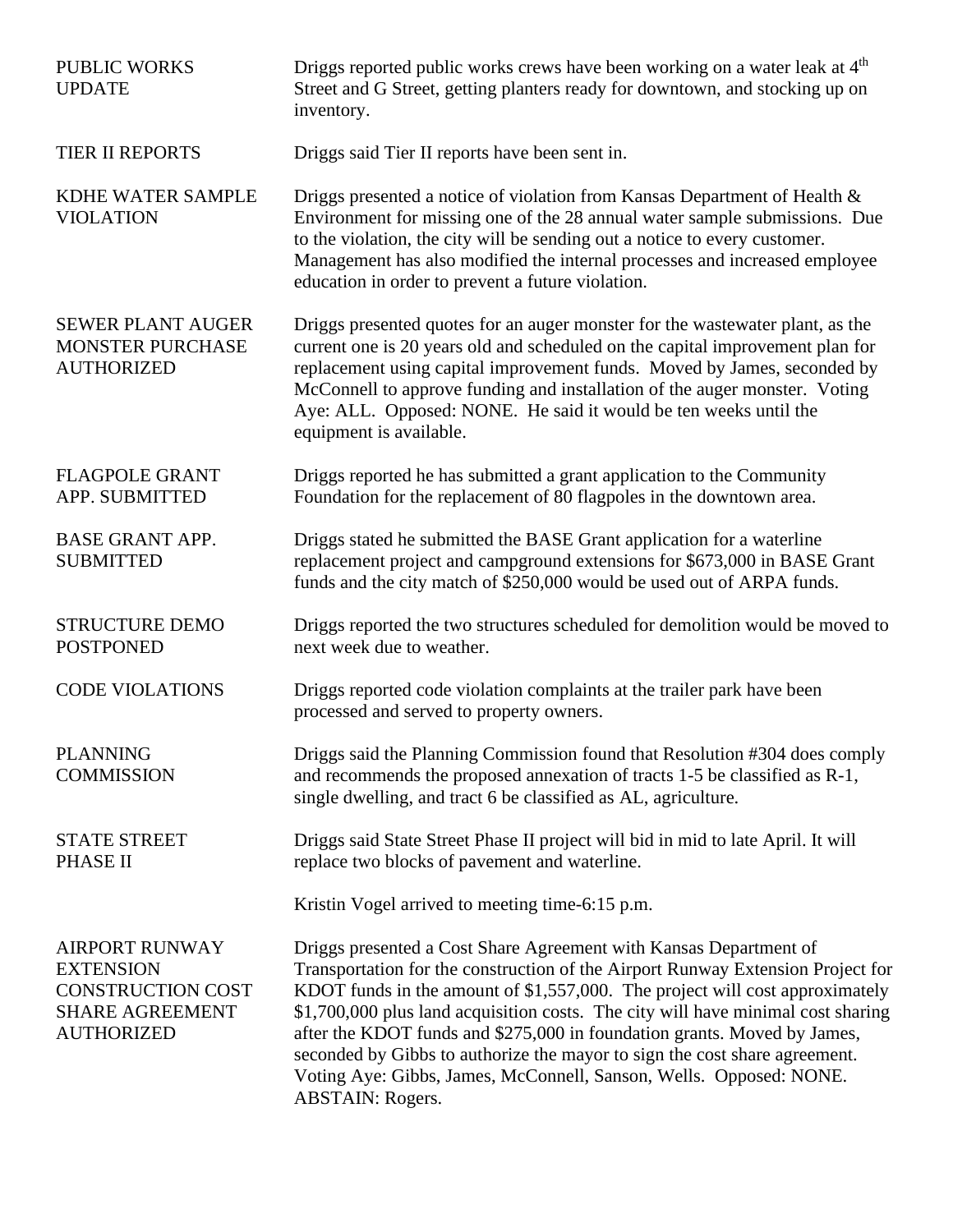| <b>PUBLIC WORKS</b><br><b>UPDATE</b>                                                                          | Driggs reported public works crews have been working on a water leak at 4 <sup>th</sup><br>Street and G Street, getting planters ready for downtown, and stocking up on<br>inventory.                                                                                                                                                                                                                                                                                                                                                                                               |
|---------------------------------------------------------------------------------------------------------------|-------------------------------------------------------------------------------------------------------------------------------------------------------------------------------------------------------------------------------------------------------------------------------------------------------------------------------------------------------------------------------------------------------------------------------------------------------------------------------------------------------------------------------------------------------------------------------------|
| TIER II REPORTS                                                                                               | Driggs said Tier II reports have been sent in.                                                                                                                                                                                                                                                                                                                                                                                                                                                                                                                                      |
| KDHE WATER SAMPLE<br><b>VIOLATION</b>                                                                         | Driggs presented a notice of violation from Kansas Department of Health &<br>Environment for missing one of the 28 annual water sample submissions. Due<br>to the violation, the city will be sending out a notice to every customer.<br>Management has also modified the internal processes and increased employee<br>education in order to prevent a future violation.                                                                                                                                                                                                            |
| <b>SEWER PLANT AUGER</b><br><b>MONSTER PURCHASE</b><br><b>AUTHORIZED</b>                                      | Driggs presented quotes for an auger monster for the wastewater plant, as the<br>current one is 20 years old and scheduled on the capital improvement plan for<br>replacement using capital improvement funds. Moved by James, seconded by<br>McConnell to approve funding and installation of the auger monster. Voting<br>Aye: ALL. Opposed: NONE. He said it would be ten weeks until the<br>equipment is available.                                                                                                                                                             |
| <b>FLAGPOLE GRANT</b><br>APP. SUBMITTED                                                                       | Driggs reported he has submitted a grant application to the Community<br>Foundation for the replacement of 80 flagpoles in the downtown area.                                                                                                                                                                                                                                                                                                                                                                                                                                       |
| <b>BASE GRANT APP.</b><br><b>SUBMITTED</b>                                                                    | Driggs stated he submitted the BASE Grant application for a waterline<br>replacement project and campground extensions for \$673,000 in BASE Grant<br>funds and the city match of \$250,000 would be used out of ARPA funds.                                                                                                                                                                                                                                                                                                                                                        |
| <b>STRUCTURE DEMO</b><br><b>POSTPONED</b>                                                                     | Driggs reported the two structures scheduled for demolition would be moved to<br>next week due to weather.                                                                                                                                                                                                                                                                                                                                                                                                                                                                          |
| <b>CODE VIOLATIONS</b>                                                                                        | Driggs reported code violation complaints at the trailer park have been<br>processed and served to property owners.                                                                                                                                                                                                                                                                                                                                                                                                                                                                 |
| <b>PLANNING</b><br><b>COMMISSION</b>                                                                          | Driggs said the Planning Commission found that Resolution #304 does comply<br>and recommends the proposed annexation of tracts 1-5 be classified as R-1,<br>single dwelling, and tract 6 be classified as AL, agriculture.                                                                                                                                                                                                                                                                                                                                                          |
| <b>STATE STREET</b><br>PHASE II                                                                               | Driggs said State Street Phase II project will bid in mid to late April. It will<br>replace two blocks of pavement and waterline.                                                                                                                                                                                                                                                                                                                                                                                                                                                   |
|                                                                                                               | Kristin Vogel arrived to meeting time-6:15 p.m.                                                                                                                                                                                                                                                                                                                                                                                                                                                                                                                                     |
| <b>AIRPORT RUNWAY</b><br><b>EXTENSION</b><br>CONSTRUCTION COST<br><b>SHARE AGREEMENT</b><br><b>AUTHORIZED</b> | Driggs presented a Cost Share Agreement with Kansas Department of<br>Transportation for the construction of the Airport Runway Extension Project for<br>KDOT funds in the amount of \$1,557,000. The project will cost approximately<br>\$1,700,000 plus land acquisition costs. The city will have minimal cost sharing<br>after the KDOT funds and \$275,000 in foundation grants. Moved by James,<br>seconded by Gibbs to authorize the mayor to sign the cost share agreement.<br>Voting Aye: Gibbs, James, McConnell, Sanson, Wells. Opposed: NONE.<br><b>ABSTAIN: Rogers.</b> |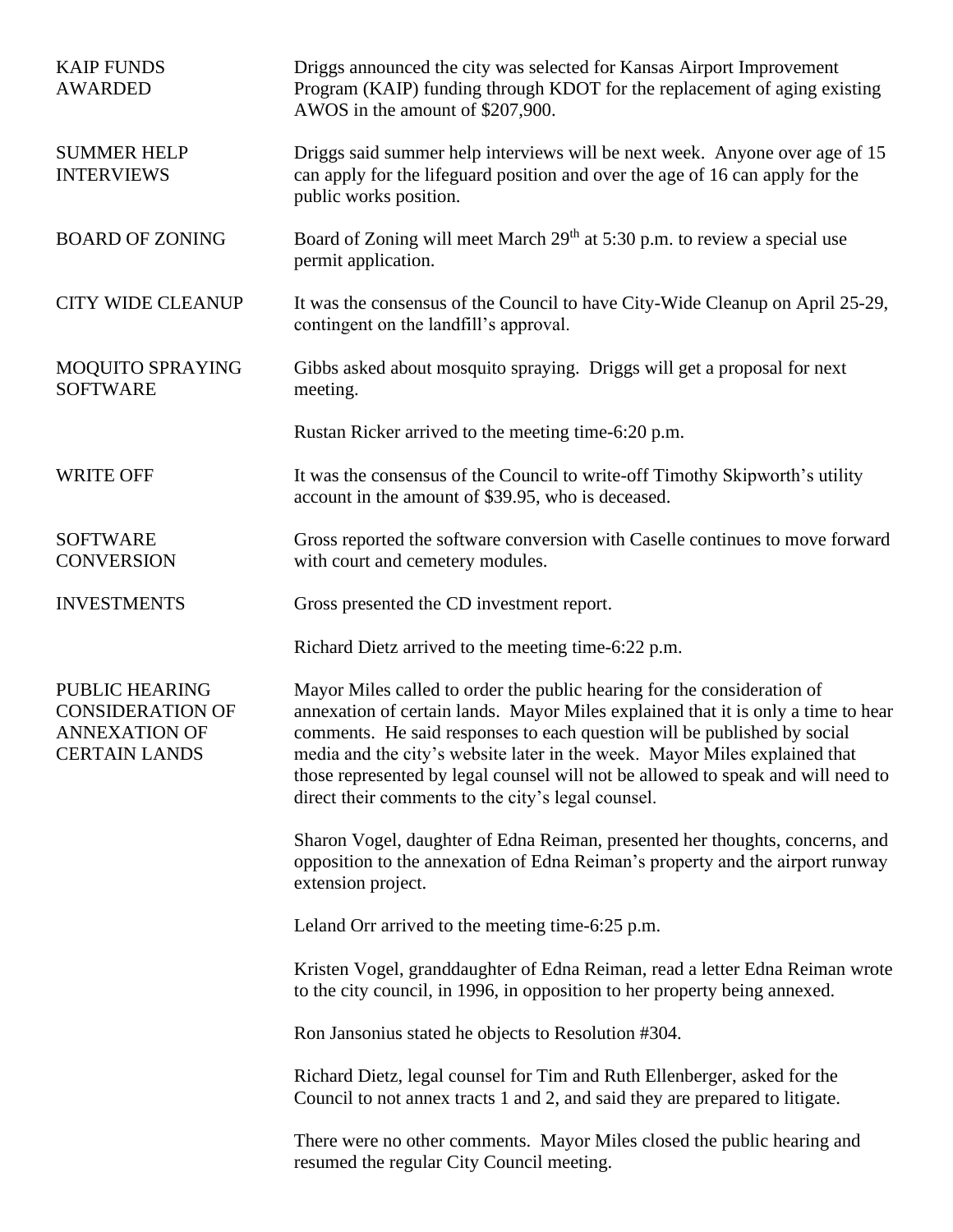| <b>KAIP FUNDS</b><br><b>AWARDED</b>                                                       | Driggs announced the city was selected for Kansas Airport Improvement<br>Program (KAIP) funding through KDOT for the replacement of aging existing<br>AWOS in the amount of \$207,900.                                                                                                                                                                                                                                                                           |
|-------------------------------------------------------------------------------------------|------------------------------------------------------------------------------------------------------------------------------------------------------------------------------------------------------------------------------------------------------------------------------------------------------------------------------------------------------------------------------------------------------------------------------------------------------------------|
| <b>SUMMER HELP</b><br><b>INTERVIEWS</b>                                                   | Driggs said summer help interviews will be next week. Anyone over age of 15<br>can apply for the lifeguard position and over the age of 16 can apply for the<br>public works position.                                                                                                                                                                                                                                                                           |
| <b>BOARD OF ZONING</b>                                                                    | Board of Zoning will meet March 29 <sup>th</sup> at 5:30 p.m. to review a special use<br>permit application.                                                                                                                                                                                                                                                                                                                                                     |
| <b>CITY WIDE CLEANUP</b>                                                                  | It was the consensus of the Council to have City-Wide Cleanup on April 25-29,<br>contingent on the landfill's approval.                                                                                                                                                                                                                                                                                                                                          |
| MOQUITO SPRAYING<br><b>SOFTWARE</b>                                                       | Gibbs asked about mosquito spraying. Driggs will get a proposal for next<br>meeting.                                                                                                                                                                                                                                                                                                                                                                             |
|                                                                                           | Rustan Ricker arrived to the meeting time-6:20 p.m.                                                                                                                                                                                                                                                                                                                                                                                                              |
| <b>WRITE OFF</b>                                                                          | It was the consensus of the Council to write-off Timothy Skipworth's utility<br>account in the amount of \$39.95, who is deceased.                                                                                                                                                                                                                                                                                                                               |
| <b>SOFTWARE</b><br><b>CONVERSION</b>                                                      | Gross reported the software conversion with Caselle continues to move forward<br>with court and cemetery modules.                                                                                                                                                                                                                                                                                                                                                |
| <b>INVESTMENTS</b>                                                                        | Gross presented the CD investment report.                                                                                                                                                                                                                                                                                                                                                                                                                        |
|                                                                                           | Richard Dietz arrived to the meeting time-6:22 p.m.                                                                                                                                                                                                                                                                                                                                                                                                              |
| PUBLIC HEARING<br><b>CONSIDERATION OF</b><br><b>ANNEXATION OF</b><br><b>CERTAIN LANDS</b> | Mayor Miles called to order the public hearing for the consideration of<br>annexation of certain lands. Mayor Miles explained that it is only a time to hear<br>comments. He said responses to each question will be published by social<br>media and the city's website later in the week. Mayor Miles explained that<br>those represented by legal counsel will not be allowed to speak and will need to<br>direct their comments to the city's legal counsel. |
|                                                                                           | Sharon Vogel, daughter of Edna Reiman, presented her thoughts, concerns, and<br>opposition to the annexation of Edna Reiman's property and the airport runway<br>extension project.                                                                                                                                                                                                                                                                              |
|                                                                                           | Leland Orr arrived to the meeting time-6:25 p.m.                                                                                                                                                                                                                                                                                                                                                                                                                 |
|                                                                                           | Kristen Vogel, granddaughter of Edna Reiman, read a letter Edna Reiman wrote<br>to the city council, in 1996, in opposition to her property being annexed.                                                                                                                                                                                                                                                                                                       |
|                                                                                           | Ron Jansonius stated he objects to Resolution #304.                                                                                                                                                                                                                                                                                                                                                                                                              |
|                                                                                           | Richard Dietz, legal counsel for Tim and Ruth Ellenberger, asked for the<br>Council to not annex tracts 1 and 2, and said they are prepared to litigate.                                                                                                                                                                                                                                                                                                         |
|                                                                                           | There were no other comments. Mayor Miles closed the public hearing and<br>resumed the regular City Council meeting.                                                                                                                                                                                                                                                                                                                                             |